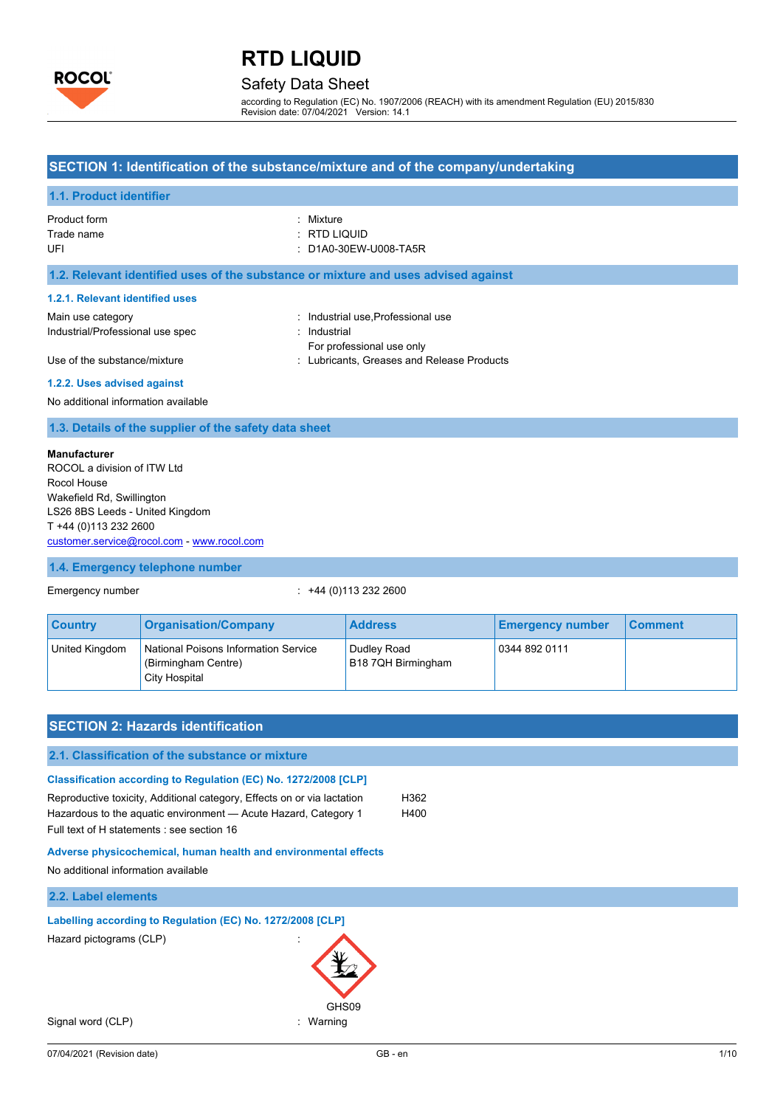

# Safety Data Sheet

according to Regulation (EC) No. 1907/2006 (REACH) with its amendment Regulation (EU) 2015/830 Revision date: 07/04/2021 Version: 14.1

## **SECTION 1: Identification of the substance/mixture and of the company/undertaking**

### **1.1. Product identifier**

| Product form | : Mixture             |
|--------------|-----------------------|
| Trade name   | : RTD LIQUID          |
| UEL          | : D1A0-30EW-U008-TA5R |

### **1.2. Relevant identified uses of the substance or mixture and uses advised against**

#### **1.2.1. Relevant identified uses**

| Main use category                | : Industrial use Professional use          |
|----------------------------------|--------------------------------------------|
| Industrial/Professional use spec | : Industrial                               |
|                                  | For professional use only                  |
| Use of the substance/mixture     | : Lubricants. Greases and Release Products |

#### **1.2.2. Uses advised against**

No additional information available

### **1.3. Details of the supplier of the safety data sheet**

### **Manufacturer**

ROCOL a division of ITW Ltd Rocol House Wakefield Rd, Swillington LS26 8BS Leeds - United Kingdom T +44 (0)113 232 2600 [customer.service@rocol.com](mailto:customer.service@rocol.com) - [www.rocol.com](http://www.rocol.com/)

## **1.4. Emergency telephone number**

Emergency number : +44 (0)113 232 2600

| <b>Country</b> | <b>Organisation/Company</b>                                                  | <b>Address</b>                    | <b>Emergency number</b> | <b>Comment</b> |
|----------------|------------------------------------------------------------------------------|-----------------------------------|-------------------------|----------------|
| United Kingdom | National Poisons Information Service<br>(Birmingham Centre)<br>City Hospital | Dudley Road<br>B18 7QH Birmingham | 0344 892 0111           |                |

| <b>SECTION 2: Hazards identification</b>                                                                                                                                                                                                                    |               |
|-------------------------------------------------------------------------------------------------------------------------------------------------------------------------------------------------------------------------------------------------------------|---------------|
| 2.1. Classification of the substance or mixture                                                                                                                                                                                                             |               |
| Classification according to Regulation (EC) No. 1272/2008 [CLP]<br>Reproductive toxicity, Additional category, Effects on or via lactation<br>Hazardous to the aquatic environment - Acute Hazard, Category 1<br>Full text of H statements : see section 16 | H362<br>H400  |
| Adverse physicochemical, human health and environmental effects<br>No additional information available                                                                                                                                                      |               |
| 2.2. Label elements                                                                                                                                                                                                                                         |               |
| Labelling according to Regulation (EC) No. 1272/2008 [CLP]<br>Hazard pictograms (CLP)<br>GHS09                                                                                                                                                              |               |
| Signal word (CLP)<br>Warning                                                                                                                                                                                                                                |               |
| 07/04/2021 (Revision date)                                                                                                                                                                                                                                  | 1/10<br>GB-en |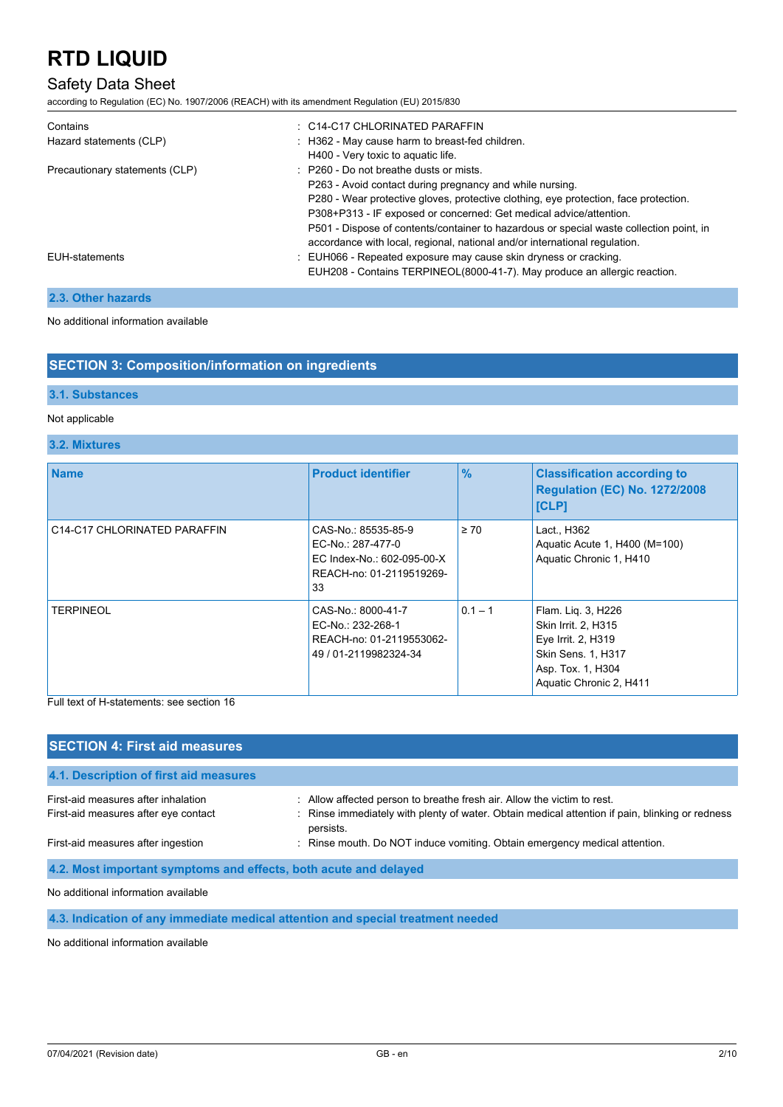# Safety Data Sheet

according to Regulation (EC) No. 1907/2006 (REACH) with its amendment Regulation (EU) 2015/830

| $\therefore$ C14-C17 CHLORINATED PARAFFIN                                               |
|-----------------------------------------------------------------------------------------|
| : H362 - May cause harm to breast-fed children.                                         |
| H400 - Very toxic to aquatic life.                                                      |
| $\therefore$ P260 - Do not breathe dusts or mists.                                      |
| P263 - Avoid contact during pregnancy and while nursing.                                |
| P280 - Wear protective gloves, protective clothing, eye protection, face protection.    |
| P308+P313 - IF exposed or concerned: Get medical advice/attention.                      |
| P501 - Dispose of contents/container to hazardous or special waste collection point, in |
| accordance with local, regional, national and/or international regulation.              |
| : EUH066 - Repeated exposure may cause skin dryness or cracking.                        |
| EUH208 - Contains TERPINEOL(8000-41-7). May produce an allergic reaction.               |
|                                                                                         |

## **2.3. Other hazards**

No additional information available

## **SECTION 3: Composition/information on ingredients**

## **3.1. Substances**

### Not applicable

### **3.2. Mixtures**

| <b>Name</b>                  | <b>Product identifier</b>                                                                                | $\frac{9}{6}$ | <b>Classification according to</b><br><b>Regulation (EC) No. 1272/2008</b><br>[CLP]                                                   |
|------------------------------|----------------------------------------------------------------------------------------------------------|---------------|---------------------------------------------------------------------------------------------------------------------------------------|
| C14-C17 CHLORINATED PARAFFIN | CAS-No.: 85535-85-9<br>EC-No.: 287-477-0<br>EC Index-No.: 602-095-00-X<br>REACH-no: 01-2119519269-<br>33 | $\geq 70$     | Lact., H362<br>Aquatic Acute 1, H400 (M=100)<br>Aquatic Chronic 1, H410                                                               |
| <b>TERPINEOL</b>             | CAS-No.: 8000-41-7<br>EC-No.: 232-268-1<br>REACH-no: 01-2119553062-<br>49 / 01-2119982324-34             | $0.1 - 1$     | Flam. Liq. 3, H226<br>Skin Irrit. 2, H315<br>Eye Irrit. 2, H319<br>Skin Sens. 1, H317<br>Asp. Tox. 1, H304<br>Aquatic Chronic 2, H411 |

Full text of H-statements: see section 16

| <b>SECTION 4: First aid measures</b>                                                                           |                                                                                                                                                                            |
|----------------------------------------------------------------------------------------------------------------|----------------------------------------------------------------------------------------------------------------------------------------------------------------------------|
| 4.1. Description of first aid measures                                                                         |                                                                                                                                                                            |
| First-aid measures after inhalation<br>First-aid measures after eye contact                                    | : Allow affected person to breathe fresh air. Allow the victim to rest.<br>: Rinse immediately with plenty of water. Obtain medical attention if pain, blinking or redness |
|                                                                                                                | persists.                                                                                                                                                                  |
| First-aid measures after ingestion                                                                             | : Rinse mouth. Do NOT induce vomiting. Obtain emergency medical attention.                                                                                                 |
| 4.2. Most important symptoms and effects, both acute and delayed                                               |                                                                                                                                                                            |
| . A har an albhibit a tarach i bhaile an aire an ceann a bhaile an an ceann an aire an aire an aire an aire an |                                                                                                                                                                            |

No additional information available

**4.3. Indication of any immediate medical attention and special treatment needed**

No additional information available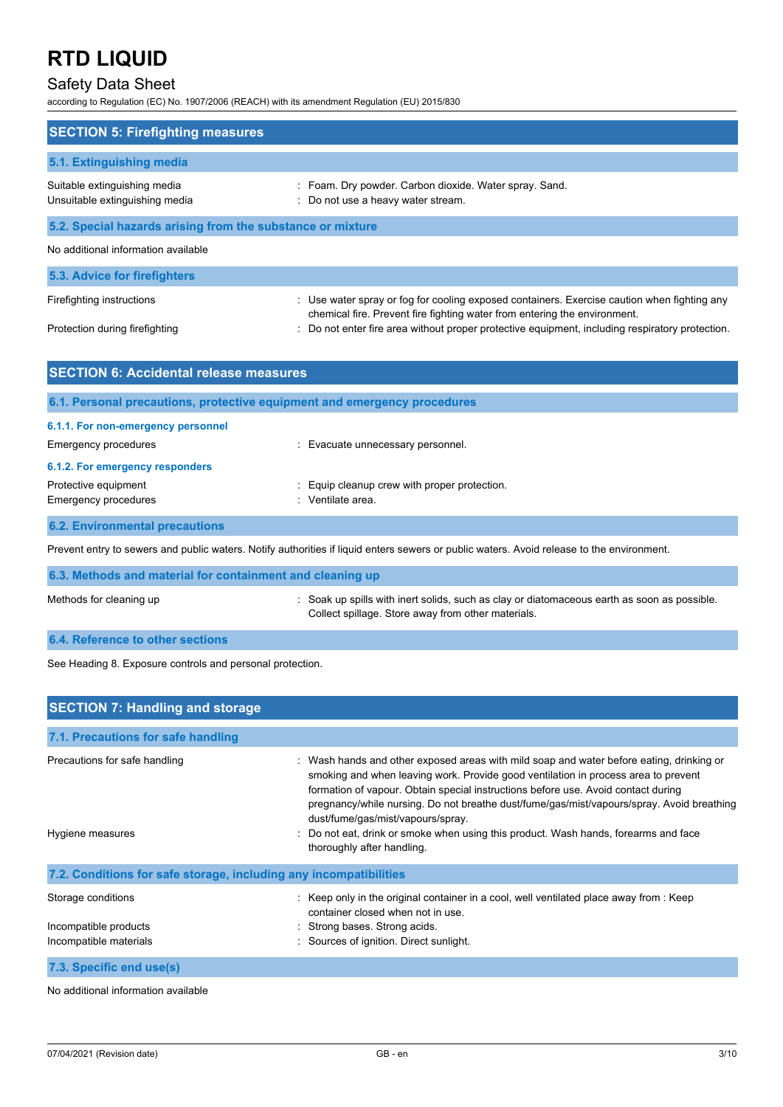# Safety Data Sheet

according to Regulation (EC) No. 1907/2006 (REACH) with its amendment Regulation (EU) 2015/830

| <b>SECTION 5: Firefighting measures</b>                                  |                                                                                                                                                                        |
|--------------------------------------------------------------------------|------------------------------------------------------------------------------------------------------------------------------------------------------------------------|
| 5.1. Extinguishing media                                                 |                                                                                                                                                                        |
| Suitable extinguishing media<br>Unsuitable extinguishing media           | Foam. Dry powder. Carbon dioxide. Water spray. Sand.<br>Do not use a heavy water stream.                                                                               |
| 5.2. Special hazards arising from the substance or mixture               |                                                                                                                                                                        |
| No additional information available                                      |                                                                                                                                                                        |
| 5.3. Advice for firefighters                                             |                                                                                                                                                                        |
| Firefighting instructions                                                | Use water spray or fog for cooling exposed containers. Exercise caution when fighting any<br>chemical fire. Prevent fire fighting water from entering the environment. |
| Protection during firefighting                                           | Do not enter fire area without proper protective equipment, including respiratory protection.                                                                          |
| <b>SECTION 6: Accidental release measures</b>                            |                                                                                                                                                                        |
| 6.1. Personal precautions, protective equipment and emergency procedures |                                                                                                                                                                        |
| 6.1.1. For non-emergency personnel                                       |                                                                                                                                                                        |
| <b>Emergency procedures</b>                                              | Evacuate unnecessary personnel.                                                                                                                                        |
| 6.1.2. For emergency responders                                          |                                                                                                                                                                        |
| Protective equipment<br><b>Emergency procedures</b>                      | Equip cleanup crew with proper protection.<br>Ventilate area.                                                                                                          |
| <b>6.2. Environmental precautions</b>                                    |                                                                                                                                                                        |
|                                                                          | Prevent entry to sewers and public waters. Notify authorities if liquid enters sewers or public waters. Avoid release to the environment.                              |

**6.3. Methods and material for containment and cleaning up** Methods for cleaning up **intercollect of the Soak up spills with inert solids**, such as clay or diatomaceous earth as soon as possible. Collect spillage. Store away from other materials.

## **6.4. Reference to other sections**

See Heading 8. Exposure controls and personal protection.

| <b>SECTION 7: Handling and storage</b>                                |                                                                                                                                                                                                                                                                                                                                                                                                                                                                                                                            |
|-----------------------------------------------------------------------|----------------------------------------------------------------------------------------------------------------------------------------------------------------------------------------------------------------------------------------------------------------------------------------------------------------------------------------------------------------------------------------------------------------------------------------------------------------------------------------------------------------------------|
| 7.1. Precautions for safe handling                                    |                                                                                                                                                                                                                                                                                                                                                                                                                                                                                                                            |
| Precautions for safe handling<br>Hygiene measures                     | : Wash hands and other exposed areas with mild soap and water before eating, drinking or<br>smoking and when leaving work. Provide good ventilation in process area to prevent<br>formation of vapour. Obtain special instructions before use. Avoid contact during<br>pregnancy/while nursing. Do not breathe dust/fume/gas/mist/vapours/spray. Avoid breathing<br>dust/fume/gas/mist/vapours/spray.<br>: Do not eat, drink or smoke when using this product. Wash hands, forearms and face<br>thoroughly after handling. |
| 7.2. Conditions for safe storage, including any incompatibilities     |                                                                                                                                                                                                                                                                                                                                                                                                                                                                                                                            |
| Storage conditions<br>Incompatible products<br>Incompatible materials | : Keep only in the original container in a cool, well ventilated place away from : Keep<br>container closed when not in use.<br>: Strong bases. Strong acids.<br>: Sources of ignition. Direct sunlight.                                                                                                                                                                                                                                                                                                                   |
| 7.3. Specific end use(s)                                              |                                                                                                                                                                                                                                                                                                                                                                                                                                                                                                                            |

No additional information available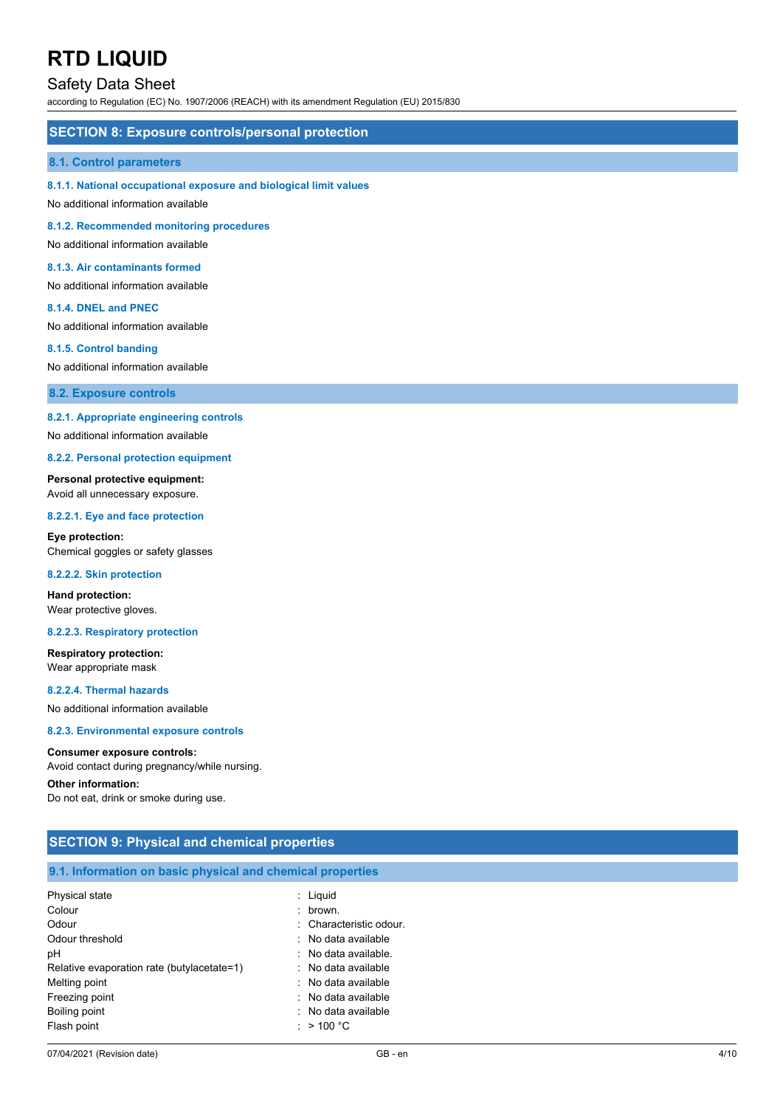## Safety Data Sheet

according to Regulation (EC) No. 1907/2006 (REACH) with its amendment Regulation (EU) 2015/830

### **SECTION 8: Exposure controls/personal protection**

#### **8.1. Control parameters**

#### **8.1.1. National occupational exposure and biological limit values**

No additional information available

**8.1.2. Recommended monitoring procedures**

No additional information available

### **8.1.3. Air contaminants formed**

No additional information available

#### **8.1.4. DNEL and PNEC**

No additional information available

#### **8.1.5. Control banding**

No additional information available

**8.2. Exposure controls**

#### **8.2.1. Appropriate engineering controls**

No additional information available

#### **8.2.2. Personal protection equipment**

#### **Personal protective equipment:**

Avoid all unnecessary exposure.

#### **8.2.2.1. Eye and face protection**

**Eye protection:** Chemical goggles or safety glasses

#### **8.2.2.2. Skin protection**

**Hand protection:** Wear protective gloves.

#### **8.2.2.3. Respiratory protection**

## **Respiratory protection:**

Wear appropriate mask

**8.2.2.4. Thermal hazards**

No additional information available

#### **8.2.3. Environmental exposure controls**

#### **Consumer exposure controls:**

Avoid contact during pregnancy/while nursing.

Boiling point **in the case of the case of the case of the case of the case of the case of the case of the case of the case of the case of the case of the case of the case of the case of the case of the case of the case of** Flash point  $\cdot$  > 100 °C

### **Other information:**

Do not eat, drink or smoke during use.

| <b>SECTION 9: Physical and chemical properties</b>         |                         |  |  |  |
|------------------------------------------------------------|-------------------------|--|--|--|
| 9.1. Information on basic physical and chemical properties |                         |  |  |  |
|                                                            |                         |  |  |  |
| Physical state                                             | $:$ Liquid              |  |  |  |
| Colour                                                     | $:$ brown.              |  |  |  |
| Odour                                                      | : Characteristic odour. |  |  |  |
| Odour threshold                                            | : No data available     |  |  |  |
| рH                                                         | : No data available.    |  |  |  |
| Relative evaporation rate (butylacetate=1)                 | : No data available     |  |  |  |
| Melting point                                              | : No data available     |  |  |  |
| Freezing point                                             | : No data available     |  |  |  |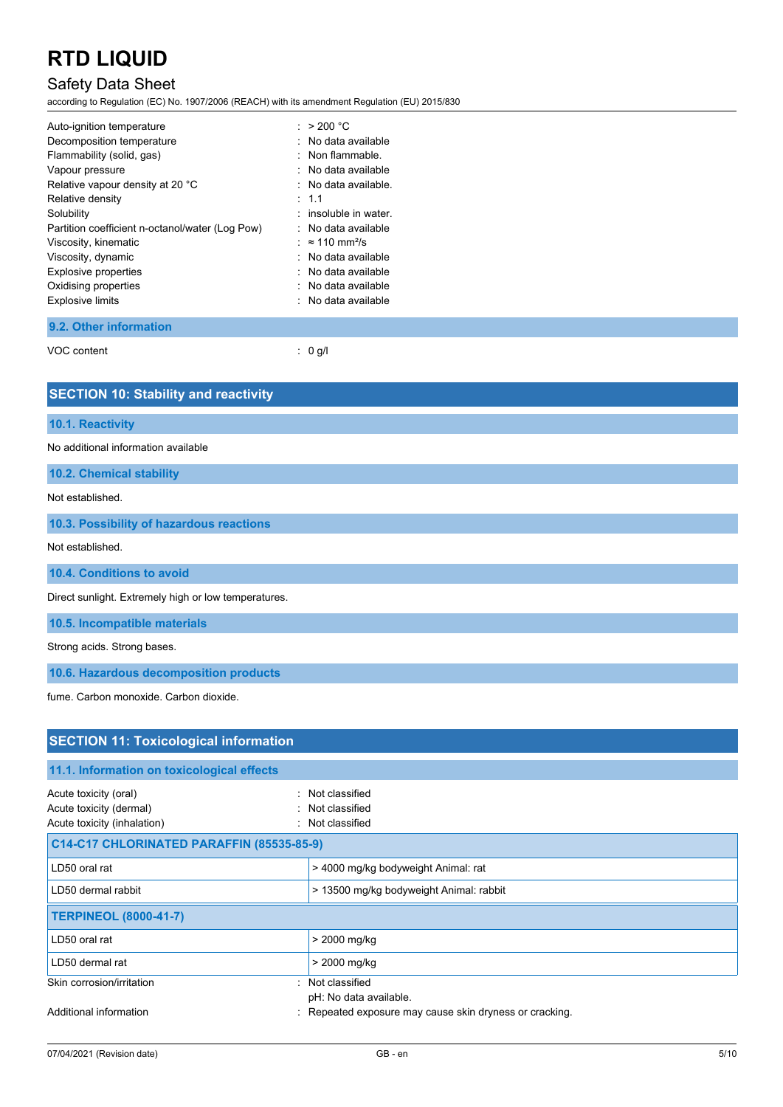# Safety Data Sheet

according to Regulation (EC) No. 1907/2006 (REACH) with its amendment Regulation (EU) 2015/830

| Auto-ignition temperature                       | : $>200 °C$                        |
|-------------------------------------------------|------------------------------------|
| Decomposition temperature                       | : No data available                |
| Flammability (solid, gas)                       | : Non flammable.                   |
| Vapour pressure                                 | : No data available                |
| Relative vapour density at 20 °C                | : No data available.               |
| Relative density                                | $\therefore$ 1.1                   |
| Solubility                                      | : insoluble in water.              |
| Partition coefficient n-octanol/water (Log Pow) | : No data available                |
| Viscosity, kinematic                            | : $\approx$ 110 mm <sup>2</sup> /s |
| Viscosity, dynamic                              | : No data available                |
| Explosive properties                            | : No data available                |
| Oxidising properties                            | : No data available                |
| <b>Explosive limits</b>                         | : No data available                |
|                                                 |                                    |

**9.2. Other information**

VOC content : 0 g/l

| <b>SECTION 10: Stability and reactivity</b>          |
|------------------------------------------------------|
| 10.1. Reactivity                                     |
| No additional information available                  |
| 10.2. Chemical stability                             |
| Not established.                                     |
| 10.3. Possibility of hazardous reactions             |
| Not established.                                     |
| 10.4. Conditions to avoid                            |
| Direct sunlight. Extremely high or low temperatures. |
| 10.5. Incompatible materials                         |
| Strong acids. Strong bases.                          |
| 10.6. Hazardous decomposition products               |
| fume. Carbon monoxide. Carbon dioxide.               |

| <b>SECTION 11: Toxicological information</b>                                    |                                                          |  |  |
|---------------------------------------------------------------------------------|----------------------------------------------------------|--|--|
| 11.1. Information on toxicological effects                                      |                                                          |  |  |
| Acute toxicity (oral)<br>Acute toxicity (dermal)<br>Acute toxicity (inhalation) | : Not classified<br>: Not classified<br>: Not classified |  |  |
| C14-C17 CHLORINATED PARAFFIN (85535-85-9)                                       |                                                          |  |  |
| LD50 oral rat                                                                   | > 4000 mg/kg bodyweight Animal: rat                      |  |  |
| LD50 dermal rabbit                                                              | > 13500 mg/kg bodyweight Animal: rabbit                  |  |  |
| <b>TERPINEOL (8000-41-7)</b>                                                    |                                                          |  |  |
| LD50 oral rat                                                                   | > 2000 mg/kg                                             |  |  |
| LD50 dermal rat                                                                 | > 2000 mg/kg                                             |  |  |
| Skin corrosion/irritation                                                       | : Not classified<br>pH: No data available.               |  |  |
| Additional information                                                          | : Repeated exposure may cause skin dryness or cracking.  |  |  |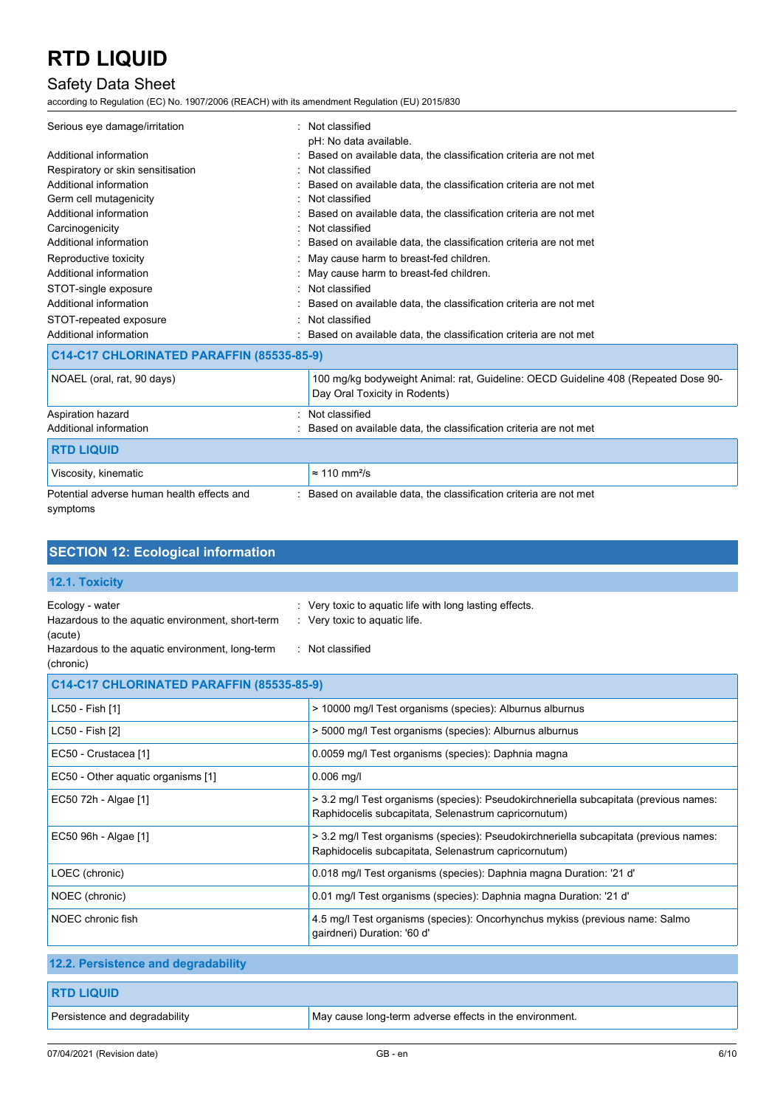# Safety Data Sheet

according to Regulation (EC) No. 1907/2006 (REACH) with its amendment Regulation (EU) 2015/830

| Serious eye damage/irritation                          | : Not classified                                                                                                    |
|--------------------------------------------------------|---------------------------------------------------------------------------------------------------------------------|
|                                                        | pH: No data available.                                                                                              |
| Additional information                                 | : Based on available data, the classification criteria are not met                                                  |
| Respiratory or skin sensitisation                      | Not classified                                                                                                      |
| Additional information                                 | Based on available data, the classification criteria are not met                                                    |
| Germ cell mutagenicity                                 | Not classified                                                                                                      |
| Additional information                                 | : Based on available data, the classification criteria are not met                                                  |
| Carcinogenicity                                        | Not classified                                                                                                      |
| Additional information                                 | Based on available data, the classification criteria are not met                                                    |
| Reproductive toxicity                                  | May cause harm to breast-fed children.                                                                              |
| Additional information                                 | : May cause harm to breast-fed children.                                                                            |
| STOT-single exposure                                   | : Not classified                                                                                                    |
| Additional information                                 | Based on available data, the classification criteria are not met                                                    |
| STOT-repeated exposure                                 | Not classified                                                                                                      |
| Additional information                                 | Based on available data, the classification criteria are not met                                                    |
| C14-C17 CHLORINATED PARAFFIN (85535-85-9)              |                                                                                                                     |
| NOAEL (oral, rat, 90 days)                             | 100 mg/kg bodyweight Animal: rat, Guideline: OECD Guideline 408 (Repeated Dose 90-<br>Day Oral Toxicity in Rodents) |
| Aspiration hazard                                      | Not classified                                                                                                      |
| Additional information                                 | Based on available data, the classification criteria are not met                                                    |
| <b>RTD LIQUID</b>                                      |                                                                                                                     |
| Viscosity, kinematic                                   | $\approx$ 110 mm <sup>2</sup> /s                                                                                    |
| Potential adverse human health effects and<br>symptoms | : Based on available data, the classification criteria are not met                                                  |

| <b>SECTION 12: Ecological information</b>                                                                                                      |                                                                                                                                               |
|------------------------------------------------------------------------------------------------------------------------------------------------|-----------------------------------------------------------------------------------------------------------------------------------------------|
| 12.1. Toxicity                                                                                                                                 |                                                                                                                                               |
| Ecology - water<br>Hazardous to the aquatic environment, short-term<br>(acute)<br>Hazardous to the aquatic environment, long-term<br>(chronic) | Very toxic to aquatic life with long lasting effects.<br>: Very toxic to aquatic life.<br>: Not classified                                    |
| C14-C17 CHLORINATED PARAFFIN (85535-85-9)                                                                                                      |                                                                                                                                               |
| LC50 - Fish [1]                                                                                                                                | > 10000 mg/l Test organisms (species): Alburnus alburnus                                                                                      |
| LC50 - Fish [2]                                                                                                                                | > 5000 mg/l Test organisms (species): Alburnus alburnus                                                                                       |
| EC50 - Crustacea [1]                                                                                                                           | 0.0059 mg/l Test organisms (species): Daphnia magna                                                                                           |
| EC50 - Other aquatic organisms [1]                                                                                                             | $0.006$ mg/l                                                                                                                                  |
| EC50 72h - Algae [1]                                                                                                                           | > 3.2 mg/l Test organisms (species): Pseudokirchneriella subcapitata (previous names:<br>Raphidocelis subcapitata, Selenastrum capricornutum) |
| EC50 96h - Algae [1]                                                                                                                           | > 3.2 mg/l Test organisms (species): Pseudokirchneriella subcapitata (previous names:<br>Raphidocelis subcapitata, Selenastrum capricornutum) |
| LOEC (chronic)                                                                                                                                 | 0.018 mg/l Test organisms (species): Daphnia magna Duration: '21 d'                                                                           |
| NOEC (chronic)                                                                                                                                 | 0.01 mg/l Test organisms (species): Daphnia magna Duration: '21 d'                                                                            |
| NOEC chronic fish                                                                                                                              | 4.5 mg/l Test organisms (species): Oncorhynchus mykiss (previous name: Salmo<br>qairdneri) Duration: '60 d'                                   |
| 12.2. Persistence and degradability                                                                                                            |                                                                                                                                               |
| <b>RTD LIQUID</b>                                                                                                                              |                                                                                                                                               |

| Persistence and degradability | May cause long-term adverse effects in the environment. |
|-------------------------------|---------------------------------------------------------|
|                               |                                                         |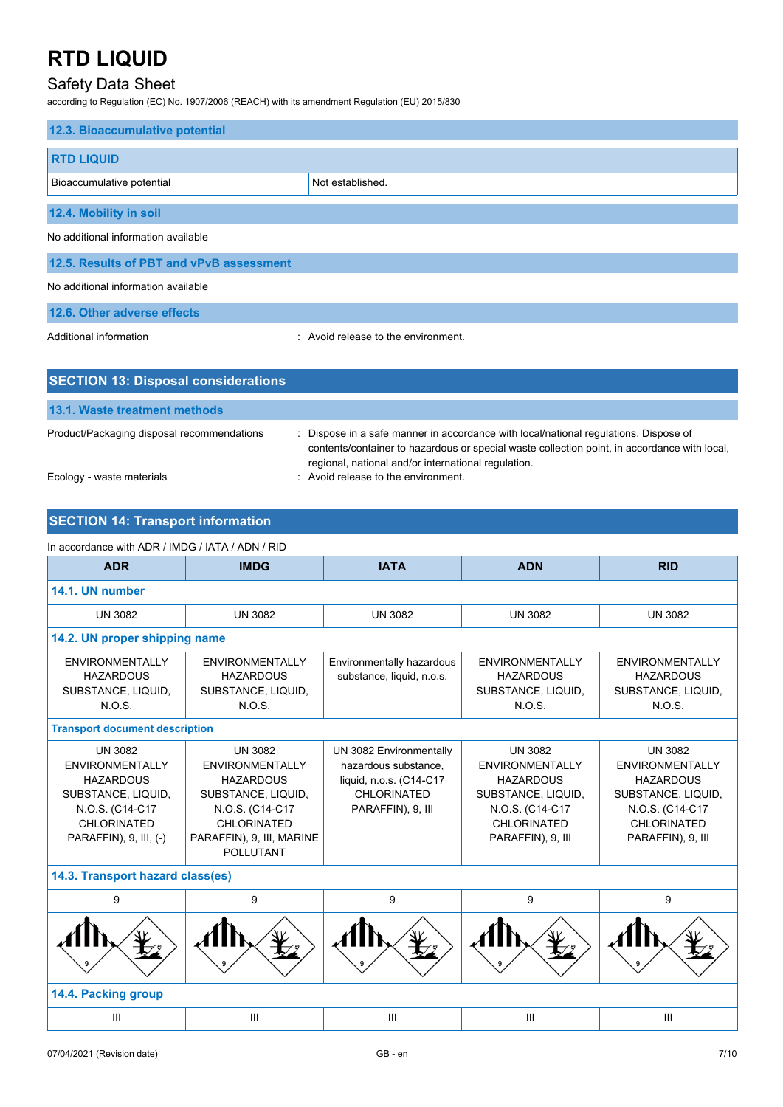# Safety Data Sheet

according to Regulation (EC) No. 1907/2006 (REACH) with its amendment Regulation (EU) 2015/830

| 12.3. Bioaccumulative potential            |                                     |  |
|--------------------------------------------|-------------------------------------|--|
| <b>RTD LIQUID</b>                          |                                     |  |
| Bioaccumulative potential                  | Not established.                    |  |
| 12.4. Mobility in soil                     |                                     |  |
| No additional information available        |                                     |  |
| 12.5. Results of PBT and vPvB assessment   |                                     |  |
| No additional information available        |                                     |  |
| 12.6. Other adverse effects                |                                     |  |
| Additional information                     | : Avoid release to the environment. |  |
|                                            |                                     |  |
| <b>SECTION 13: Disposal considerations</b> |                                     |  |

| Product/Packaging disposal recommendations | Dispose in a safe manner in accordance with local/national regulations. Dispose of<br>contents/container to hazardous or special waste collection point, in accordance with local, |
|--------------------------------------------|------------------------------------------------------------------------------------------------------------------------------------------------------------------------------------|
|                                            | regional, national and/or international regulation.                                                                                                                                |
| Ecology - waste materials                  | : Avoid release to the environment.                                                                                                                                                |

## **SECTION 14: Transport information**

**13.1. Waste treatment methods**

### In accordance with ADR / IMDG / IATA / ADN / RID

| <b>ADR</b>                                                                                                                                     | <b>IMDG</b>                                                                                                                                                           | <b>IATA</b><br><b>ADN</b>                                                                                      |                                                                                                                                           | <b>RID</b>                                                                                                                                       |  |  |
|------------------------------------------------------------------------------------------------------------------------------------------------|-----------------------------------------------------------------------------------------------------------------------------------------------------------------------|----------------------------------------------------------------------------------------------------------------|-------------------------------------------------------------------------------------------------------------------------------------------|--------------------------------------------------------------------------------------------------------------------------------------------------|--|--|
| 14.1. UN number                                                                                                                                |                                                                                                                                                                       |                                                                                                                |                                                                                                                                           |                                                                                                                                                  |  |  |
| <b>UN 3082</b>                                                                                                                                 | <b>UN 3082</b>                                                                                                                                                        | <b>UN 3082</b>                                                                                                 | <b>UN 3082</b>                                                                                                                            | <b>UN 3082</b>                                                                                                                                   |  |  |
| 14.2. UN proper shipping name                                                                                                                  |                                                                                                                                                                       |                                                                                                                |                                                                                                                                           |                                                                                                                                                  |  |  |
| <b>ENVIRONMENTALLY</b><br><b>HAZARDOUS</b><br>SUBSTANCE, LIQUID,<br>N.O.S.                                                                     | <b>ENVIRONMENTALLY</b><br><b>HAZARDOUS</b><br>SUBSTANCE, LIQUID,<br>N.O.S.                                                                                            | Environmentally hazardous<br>substance, liquid, n.o.s.                                                         | <b>ENVIRONMENTALLY</b><br><b>HAZARDOUS</b><br>SUBSTANCE, LIQUID,<br>N.O.S.                                                                | <b>ENVIRONMENTALLY</b><br><b>HAZARDOUS</b><br>SUBSTANCE, LIQUID,<br>N.O.S.                                                                       |  |  |
| <b>Transport document description</b>                                                                                                          |                                                                                                                                                                       |                                                                                                                |                                                                                                                                           |                                                                                                                                                  |  |  |
| <b>UN 3082</b><br><b>ENVIRONMENTALLY</b><br><b>HAZARDOUS</b><br>SUBSTANCE, LIQUID,<br>N.O.S. (C14-C17<br>CHLORINATED<br>PARAFFIN), 9, III, (-) | <b>UN 3082</b><br><b>ENVIRONMENTALLY</b><br><b>HAZARDOUS</b><br>SUBSTANCE, LIQUID,<br>N.O.S. (C14-C17<br>CHLORINATED<br>PARAFFIN), 9, III, MARINE<br><b>POLLUTANT</b> | UN 3082 Environmentally<br>hazardous substance.<br>liquid, n.o.s. (C14-C17<br>CHLORINATED<br>PARAFFIN), 9, III | <b>UN 3082</b><br><b>ENVIRONMENTALLY</b><br><b>HAZARDOUS</b><br>SUBSTANCE, LIQUID,<br>N.O.S. (C14-C17<br>CHLORINATED<br>PARAFFIN), 9, III | <b>UN 3082</b><br><b>ENVIRONMENTALLY</b><br><b>HAZARDOUS</b><br>SUBSTANCE, LIQUID,<br>N.O.S. (C14-C17<br><b>CHLORINATED</b><br>PARAFFIN), 9, III |  |  |
|                                                                                                                                                | 14.3. Transport hazard class(es)                                                                                                                                      |                                                                                                                |                                                                                                                                           |                                                                                                                                                  |  |  |
| 9                                                                                                                                              | 9                                                                                                                                                                     | 9                                                                                                              | 9                                                                                                                                         | 9                                                                                                                                                |  |  |
|                                                                                                                                                |                                                                                                                                                                       |                                                                                                                |                                                                                                                                           |                                                                                                                                                  |  |  |
| 14.4. Packing group                                                                                                                            |                                                                                                                                                                       |                                                                                                                |                                                                                                                                           |                                                                                                                                                  |  |  |
| $\mathbf{III}$                                                                                                                                 | III                                                                                                                                                                   | III                                                                                                            | Ш                                                                                                                                         | III                                                                                                                                              |  |  |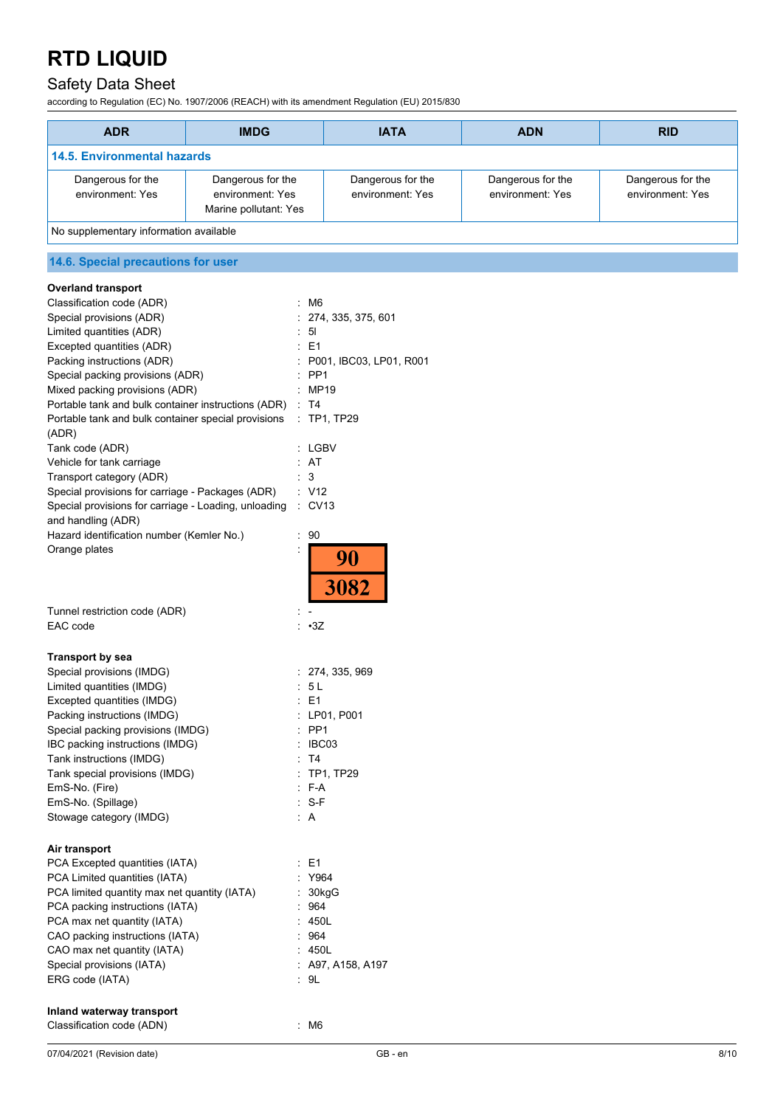# Safety Data Sheet

according to Regulation (EC) No. 1907/2006 (REACH) with its amendment Regulation (EU) 2015/830

| <b>ADR</b>                             | <b>IMDG</b>                                                    | <b>IATA</b>                           | <b>ADN</b>                            | <b>RID</b>                            |
|----------------------------------------|----------------------------------------------------------------|---------------------------------------|---------------------------------------|---------------------------------------|
| <b>14.5. Environmental hazards</b>     |                                                                |                                       |                                       |                                       |
| Dangerous for the<br>environment: Yes  | Dangerous for the<br>environment: Yes<br>Marine pollutant: Yes | Dangerous for the<br>environment: Yes | Dangerous for the<br>environment: Yes | Dangerous for the<br>environment: Yes |
| No supplementary information available |                                                                |                                       |                                       |                                       |

# **14.6. Special precautions for user**

| <b>Overland transport</b>                                                  |                              |      |
|----------------------------------------------------------------------------|------------------------------|------|
| Classification code (ADR)                                                  | M <sub>6</sub><br>÷          |      |
| Special provisions (ADR)                                                   | 274, 335, 375, 601           |      |
| Limited quantities (ADR)                                                   | 5 <sub>l</sub>               |      |
| Excepted quantities (ADR)                                                  | E <sub>1</sub>               |      |
| Packing instructions (ADR)                                                 | P001, IBC03, LP01, R001      |      |
| Special packing provisions (ADR)                                           | PP <sub>1</sub>              |      |
| Mixed packing provisions (ADR)                                             | MP19                         |      |
| Portable tank and bulk container instructions (ADR)                        | : T4                         |      |
| Portable tank and bulk container special provisions<br>(ADR)               | : TP1, TP29                  |      |
| Tank code (ADR)                                                            | : LGBV                       |      |
| Vehicle for tank carriage                                                  | : AT                         |      |
| Transport category (ADR)                                                   | : 3                          |      |
| Special provisions for carriage - Packages (ADR)                           | : V12                        |      |
| Special provisions for carriage - Loading, unloading<br>and handling (ADR) | $\therefore$ CV13            |      |
| Hazard identification number (Kemler No.)                                  | 90                           |      |
| Orange plates                                                              | 90<br>3082                   |      |
|                                                                            |                              |      |
| Tunnel restriction code (ADR)                                              |                              |      |
| EAC code                                                                   | : .3Z                        |      |
|                                                                            |                              |      |
| <b>Transport by sea</b>                                                    |                              |      |
| Special provisions (IMDG)                                                  | : 274, 335, 969              |      |
| Limited quantities (IMDG)                                                  | : 5L                         |      |
| Excepted quantities (IMDG)                                                 | E1                           |      |
| Packing instructions (IMDG)                                                | : LP01, P001                 |      |
| Special packing provisions (IMDG)                                          | $:$ PP1<br>IBC03             |      |
| IBC packing instructions (IMDG)                                            |                              |      |
| Tank instructions (IMDG)                                                   | $\therefore$ T4<br>TP1, TP29 |      |
| Tank special provisions (IMDG)                                             | F-A                          |      |
| EmS-No. (Fire)<br>EmS-No. (Spillage)                                       | $: S-F$                      |      |
| Stowage category (IMDG)                                                    | $\therefore$ A               |      |
|                                                                            |                              |      |
| Air transport                                                              |                              |      |
| PCA Excepted quantities (IATA)                                             | $\therefore$ E1              |      |
| PCA Limited quantities (IATA)                                              | Y964                         |      |
| PCA limited quantity max net quantity (IATA)                               | 30kgG                        |      |
| PCA packing instructions (IATA)                                            | 964                          |      |
| PCA max net quantity (IATA)                                                | : 450L                       |      |
| CAO packing instructions (IATA)                                            | 964                          |      |
| CAO max net quantity (IATA)                                                | 450L                         |      |
| Special provisions (IATA)                                                  | : A97, A158, A197            |      |
| ERG code (IATA)                                                            | $\therefore$ 9L              |      |
|                                                                            |                              |      |
| Inland waterway transport                                                  |                              |      |
| Classification code (ADN)                                                  | : M6                         |      |
|                                                                            | $GB - en$                    |      |
| 07/04/2021 (Revision date)                                                 |                              | 8/10 |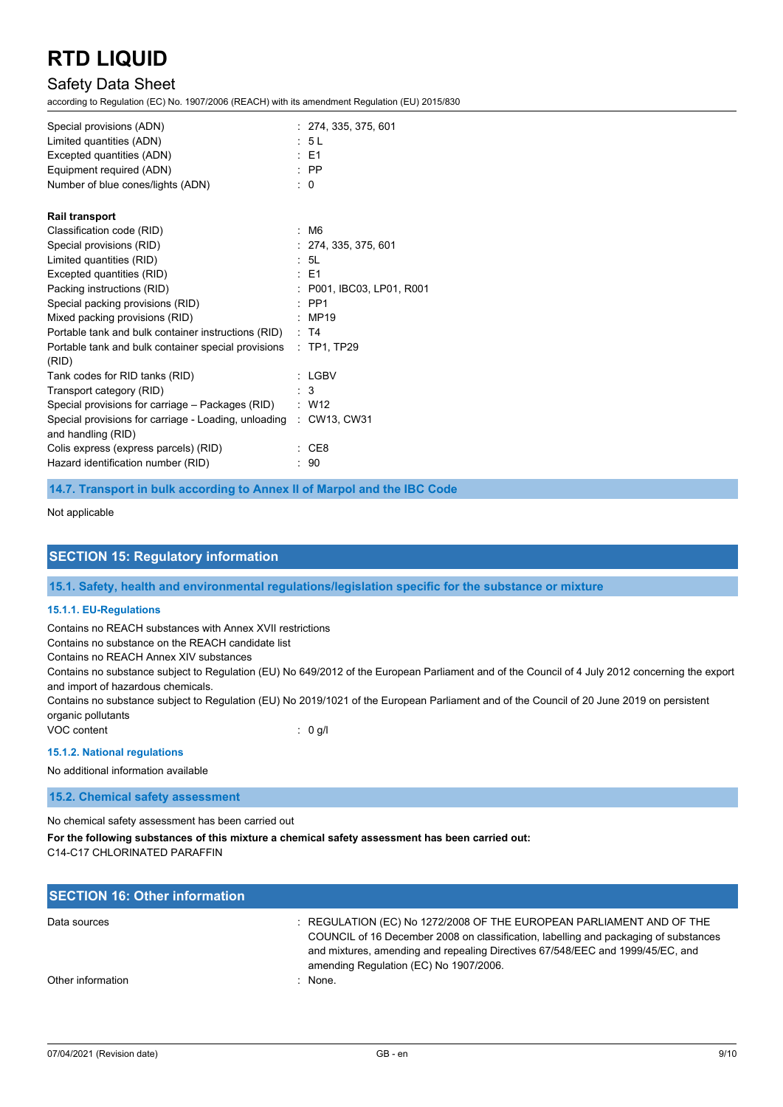# Safety Data Sheet

according to Regulation (EC) No. 1907/2006 (REACH) with its amendment Regulation (EU) 2015/830

| Special provisions (ADN)                                          | : 274, 335, 375, 601      |
|-------------------------------------------------------------------|---------------------------|
| Limited quantities (ADN)                                          | : 5L                      |
| Excepted quantities (ADN)                                         | $E = 1$                   |
| Equipment required (ADN)                                          | $\therefore$ PP           |
| Number of blue cones/lights (ADN)                                 | $\therefore$ 0            |
| <b>Rail transport</b>                                             |                           |
| Classification code (RID)                                         | : M6                      |
| Special provisions (RID)                                          | : 274, 335, 375, 601      |
| Limited quantities (RID)                                          | $\cdot$ 51                |
| Excepted quantities (RID)                                         | $E = 51$                  |
| Packing instructions (RID)                                        | : P001, IBC03, LP01, R001 |
| Special packing provisions (RID)                                  | $\therefore$ PP1          |
| Mixed packing provisions (RID)                                    | : MP19                    |
| Portable tank and bulk container instructions (RID) : T4          |                           |
| Portable tank and bulk container special provisions               | $:$ TP1, TP29             |
| (RID)                                                             |                           |
| Tank codes for RID tanks (RID)                                    | : LGBV                    |
| Transport category (RID)                                          | $\therefore$ 3            |
| Special provisions for carriage - Packages (RID)                  | $\therefore$ W12          |
| Special provisions for carriage - Loading, unloading : CW13, CW31 |                           |
| and handling (RID)                                                |                           |
| Colis express (express parcels) (RID)                             | CE8                       |
| Hazard identification number (RID)                                | : 90                      |

### **14.7. Transport in bulk according to Annex II of Marpol and the IBC Code**

Not applicable

## **SECTION 15: Regulatory information**

**15.1. Safety, health and environmental regulations/legislation specific for the substance or mixture**

#### **15.1.1. EU-Regulations**

Contains no REACH substances with Annex XVII restrictions

Contains no substance on the REACH candidate list

Contains no REACH Annex XIV substances

Contains no substance subject to Regulation (EU) No 649/2012 of the European Parliament and of the Council of 4 July 2012 concerning the export and import of hazardous chemicals.

Contains no substance subject to Regulation (EU) No 2019/1021 of the European Parliament and of the Council of 20 June 2019 on persistent organic pollutants

VOC content : 0 g/l

#### **15.1.2. National regulations**

No additional information available

#### **15.2. Chemical safety assessment**

No chemical safety assessment has been carried out

**For the following substances of this mixture a chemical safety assessment has been carried out:** C14-C17 CHLORINATED PARAFFIN

## **SECTION 16: Other information** Data sources **Superint Studies : REGULATION (EC) No 1272/2008 OF THE EUROPEAN PARLIAMENT AND OF THE** COUNCIL of 16 December 2008 on classification, labelling and packaging of substances and mixtures, amending and repealing Directives 67/548/EEC and 1999/45/EC, and amending Regulation (EC) No 1907/2006. Other information : None.